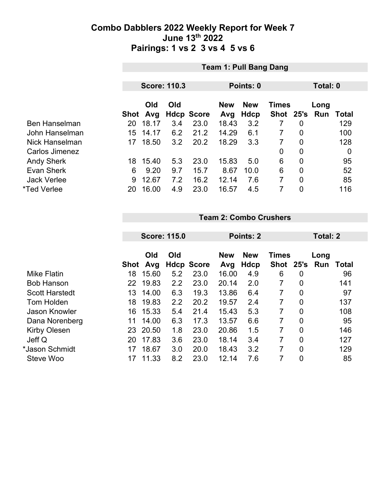|                      |      | <b>Team 1: Pull Bang Dang</b> |          |                   |            |             |              |                |      |              |  |  |
|----------------------|------|-------------------------------|----------|-------------------|------------|-------------|--------------|----------------|------|--------------|--|--|
|                      |      |                               | Total: 0 |                   |            |             |              |                |      |              |  |  |
|                      |      | <b>Score: 110.3</b>           |          |                   |            | Points: 0   |              |                |      |              |  |  |
|                      |      | Old                           | Old      |                   | <b>New</b> | <b>New</b>  | <b>Times</b> |                | Long |              |  |  |
|                      | Shot | Avg                           |          | <b>Hdcp Score</b> | Avg        | <b>Hdcp</b> | <b>Shot</b>  | 25's           | Run  | <b>Total</b> |  |  |
| <b>Ben Hanselman</b> | 20   | 18.17                         | 3.4      | 23.0              | 18.43      | 3.2         |              | 0              |      | 129          |  |  |
| John Hanselman       | 15.  | 14.17                         | 6.2      | 21.2              | 14.29      | 6.1         | 7            | $\mathbf 0$    |      | 100          |  |  |
| Nick Hanselman       | 17   | 18.50                         | 3.2      | 20.2              | 18.29      | 3.3         | 7            | 0              |      | 128          |  |  |
| Carlos Jimenez       |      |                               |          |                   |            |             | 0            | 0              |      | 0            |  |  |
| <b>Andy Sherk</b>    | 18   | 15.40                         | 5.3      | 23.0              | 15.83      | 5.0         | 6            | $\mathbf 0$    |      | 95           |  |  |
| <b>Evan Sherk</b>    | 6    | 9.20                          | 9.7      | 15.7              | 8.67       | 10.0        | 6            | $\overline{0}$ |      | 52           |  |  |
| <b>Jack Verlee</b>   | 9    | 12.67                         | 7.2      | 16.2              | 12.14      | 7.6         | 7            | $\overline{0}$ |      | 85           |  |  |
| *Ted Verlee          | 20   | 16.00                         | 4.9      | 23.0              | 16.57      | 4.5         | 7            | $\overline{0}$ |      | 116          |  |  |

#### **Team 2: Combo Crushers**

|                       |      | <b>Score: 115.0</b> |     |                   | Points: 2         |                    |                             |                | <b>Total: 2</b> |       |
|-----------------------|------|---------------------|-----|-------------------|-------------------|--------------------|-----------------------------|----------------|-----------------|-------|
|                       | Shot | Old<br>Avg          | Old | <b>Hdcp Score</b> | <b>New</b><br>Avg | <b>New</b><br>Hdcp | <b>Times</b><br><b>Shot</b> | 25's           | Long<br>Run     | Total |
| <b>Mike Flatin</b>    | 18   | 15.60               | 5.2 | 23.0              | 16.00             | 4.9                | 6                           | 0              |                 | 96    |
| <b>Bob Hanson</b>     | 22   | 19.83               | 2.2 | 23.0              | 20.14             | 2.0                | 7                           | 0              |                 | 141   |
| <b>Scott Harstedt</b> | 13   | 14.00               | 6.3 | 19.3              | 13.86             | 6.4                | 7                           | $\overline{0}$ |                 | 97    |
| <b>Tom Holden</b>     | 18   | 19.83               | 2.2 | 20.2              | 19.57             | 2.4                | 7                           | 0              |                 | 137   |
| Jason Knowler         | 16   | 15.33               | 5.4 | 21.4              | 15.43             | 5.3                | 7                           | $\overline{0}$ |                 | 108   |
| Dana Norenberg        | 11   | 14.00               | 6.3 | 17.3              | 13.57             | 6.6                | 7                           | $\overline{0}$ |                 | 95    |
| <b>Kirby Olesen</b>   | 23   | 20.50               | 1.8 | 23.0              | 20.86             | 1.5                | 7                           | $\overline{0}$ |                 | 146   |
| Jeff Q                | 20   | 17.83               | 3.6 | 23.0              | 18.14             | 3.4                | 7                           | $\overline{0}$ |                 | 127   |
| *Jason Schmidt        | 17   | 18.67               | 3.0 | 20.0              | 18.43             | 3.2                | 7                           | $\overline{0}$ |                 | 129   |
| Steve Woo             | 17   | 11.33               | 8.2 | 23.0              | 12.14             | 7.6                | 7                           | $\overline{0}$ |                 | 85    |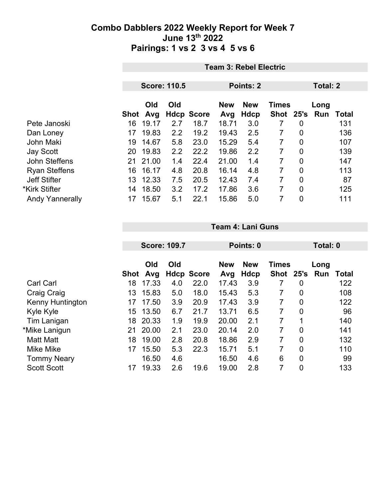|                        |      | <b>Team 3: Rebel Electric</b> |     |                   |                                          |             |           |                |          |       |  |
|------------------------|------|-------------------------------|-----|-------------------|------------------------------------------|-------------|-----------|----------------|----------|-------|--|
|                        |      |                               |     |                   |                                          |             |           |                |          |       |  |
|                        |      | <b>Score: 110.5</b>           |     |                   |                                          | Points: 2   |           |                | Total: 2 |       |  |
|                        |      | Old<br>Old                    |     |                   | <b>New</b><br><b>New</b><br><b>Times</b> |             |           |                | Long     |       |  |
|                        | Shot | Avg                           |     | <b>Hdcp Score</b> | Avg                                      | <b>Hdcp</b> | Shot 25's |                | Run      | Total |  |
| Pete Janoski           | 16   | 19.17                         | 2.7 | 18.7              | 18.71                                    | 3.0         |           | $\overline{0}$ |          | 131   |  |
| Dan Loney              | 17   | 19.83                         | 2.2 | 19.2              | 19.43                                    | 2.5         | 7         | $\overline{0}$ |          | 136   |  |
| John Maki              | 19   | 14.67                         | 5.8 | 23.0              | 15.29                                    | 5.4         | 7         | $\overline{0}$ |          | 107   |  |
| Jay Scott              | 20   | 19.83                         | 2.2 | 22.2              | 19.86                                    | 2.2         | 7         | $\mathbf 0$    |          | 139   |  |
| John Steffens          | 21   | 21.00                         | 1.4 | 22.4              | 21.00                                    | 1.4         | 7         | $\overline{0}$ |          | 147   |  |
| <b>Ryan Steffens</b>   | 16   | 16.17                         | 4.8 | 20.8              | 16.14                                    | 4.8         | 7         | $\overline{0}$ |          | 113   |  |
| <b>Jeff Stifter</b>    | 13.  | 12.33                         | 7.5 | 20.5              | 12.43                                    | 7.4         | 7         | $\overline{0}$ |          | 87    |  |
| *Kirk Stifter          | 14   | 18.50                         | 3.2 | 17.2              | 17.86                                    | 3.6         | 7         | $\overline{0}$ |          | 125   |  |
| <b>Andy Yannerally</b> | 17   | 15.67                         | 5.1 | 22.1              | 15.86                                    | 5.0         | 7         | 0              |          | 111   |  |

|                    |      | <b>Score: 109.7</b> |     |                   |                   | Points: 0          |                             |                |                  | Total: 0 |  |
|--------------------|------|---------------------|-----|-------------------|-------------------|--------------------|-----------------------------|----------------|------------------|----------|--|
|                    | Shot | Old<br>Avg          | Old | <b>Hdcp Score</b> | <b>New</b><br>Avg | <b>New</b><br>Hdcp | <b>Times</b><br><b>Shot</b> |                | Long<br>25's Run | Total    |  |
| <b>Carl Carl</b>   | 18   | 17.33               | 4.0 | 22.0              | 17.43             | 3.9                | 7                           | 0              |                  | 122      |  |
| Craig Craig        | 13   | 15.83               | 5.0 | 18.0              | 15.43             | 5.3                | 7                           | 0              |                  | 108      |  |
| Kenny Huntington   | 17   | 17.50               | 3.9 | 20.9              | 17.43             | 3.9                | 7                           | $\overline{0}$ |                  | 122      |  |
| Kyle Kyle          | 15   | 13.50               | 6.7 | 21.7              | 13.71             | 6.5                | 7                           | 0              |                  | 96       |  |
| Tim Lanigan        | 18   | 20.33               | 1.9 | 19.9              | 20.00             | 2.1                | 7                           | 1              |                  | 140      |  |
| *Mike Lanigun      | 21   | 20.00               | 2.1 | 23.0              | 20.14             | 2.0                | 7                           | $\overline{0}$ |                  | 141      |  |
| <b>Matt Matt</b>   | 18   | 19.00               | 2.8 | 20.8              | 18.86             | 2.9                | 7                           | $\mathbf 0$    |                  | 132      |  |
| <b>Mike Mike</b>   | 17   | 15.50               | 5.3 | 22.3              | 15.71             | 5.1                | 7                           | $\overline{0}$ |                  | 110      |  |
| <b>Tommy Neary</b> |      | 16.50               | 4.6 |                   | 16.50             | 4.6                | 6                           | $\overline{0}$ |                  | 99       |  |
| <b>Scott Scott</b> | 17   | 19.33               | 2.6 | 19.6              | 19.00             | 2.8                | 7                           | $\overline{0}$ |                  | 133      |  |

**Team 4: Lani Guns**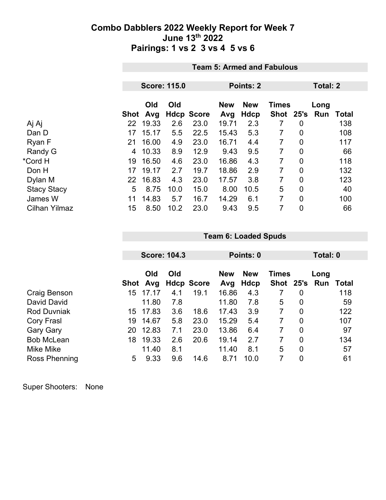|                      |      | <b>Team 5: Armed and Fabulous</b> |                     |                   |                   |                    |                           |                |             |                 |  |  |
|----------------------|------|-----------------------------------|---------------------|-------------------|-------------------|--------------------|---------------------------|----------------|-------------|-----------------|--|--|
|                      |      |                                   |                     |                   |                   |                    |                           |                |             |                 |  |  |
|                      |      |                                   | <b>Score: 115.0</b> |                   |                   | Points: 2          |                           |                |             | <b>Total: 2</b> |  |  |
|                      | Shot | Old<br>Avg                        | Old                 | <b>Hdcp Score</b> | <b>New</b><br>Avg | <b>New</b><br>Hdcp | <b>Times</b><br>Shot 25's |                | Long<br>Run | <b>Total</b>    |  |  |
| Aj Aj                | 22   | 19.33                             | 2.6                 | 23.0              | 19.71             | 2.3                | 7                         | 0              |             | 138             |  |  |
| Dan D                | 17   | 15.17                             | 5.5                 | 22.5              | 15.43             | 5.3                | 7                         | $\overline{0}$ |             | 108             |  |  |
| Ryan F               | 21   | 16.00                             | 4.9                 | 23.0              | 16.71             | 4.4                | 7                         | 0              |             | 117             |  |  |
| Randy G              | 4    | 10.33                             | 8.9                 | 12.9              | 9.43              | 9.5                | 7                         | $\overline{0}$ |             | 66              |  |  |
| *Cord H              | 19   | 16.50                             | 4.6                 | 23.0              | 16.86             | 4.3                | 7                         | $\overline{0}$ |             | 118             |  |  |
| Don H                | 17   | 19.17                             | 2.7                 | 19.7              | 18.86             | 2.9                | 7                         | 0              |             | 132             |  |  |
| Dylan M              | 22   | 16.83                             | 4.3                 | 23.0              | 17.57             | 3.8                | 7                         | $\overline{0}$ |             | 123             |  |  |
| <b>Stacy Stacy</b>   | 5    | 8.75                              | 10.0                | 15.0              | 8.00              | 10.5               | 5                         | $\overline{0}$ |             | 40              |  |  |
| James W              | 11   | 14.83                             | 5.7                 | 16.7              | 14.29             | 6.1                | 7                         | 0              |             | 100             |  |  |
| <b>Cilhan Yilmaz</b> | 15   | 8.50                              | 10.2                | 23.0              | 9.43              | 9.5                | 7                         | $\mathbf 0$    |             | 66              |  |  |

|                    |      |            | <b>Score: 104.3</b> |                   | Points: 0  |            |              |                | Total: 0 |       |
|--------------------|------|------------|---------------------|-------------------|------------|------------|--------------|----------------|----------|-------|
|                    |      | Old<br>Old |                     |                   | <b>New</b> | <b>New</b> | <b>Times</b> |                | Long     |       |
|                    | Shot | Avg        |                     | <b>Hdcp Score</b> | Avg        | Hdcp       | Shot 25's    |                | Run      | Total |
| Craig Benson       | 15   | 17.17      | 4.1                 | 19.1              | 16.86      | 4.3        |              | 0              |          | 118   |
| David David        |      | 11.80      | 7.8                 |                   | 11.80      | 7.8        | 5            | 0              |          | 59    |
| <b>Rod Duvniak</b> | 15.  | 17.83      | 3.6                 | 18.6              | 17.43      | 3.9        | 7            | 0              |          | 122   |
| Cory Frasl         | 19   | 14.67      | 5.8                 | 23.0              | 15.29      | 5.4        | 7            | $\overline{0}$ |          | 107   |
| <b>Gary Gary</b>   | 20   | 12.83      | 7.1                 | 23.0              | 13.86      | 6.4        | 7            | 0              |          | 97    |
| <b>Bob McLean</b>  | 18   | 19.33      | 2.6                 | 20.6              | 19.14      | 2.7        | 7            | $\overline{0}$ |          | 134   |
| Mike Mike          |      | 11.40      | 8.1                 |                   | 11.40      | 8.1        | 5            | $\overline{0}$ |          | 57    |
| Ross Phenning      | 5    | 9.33       | 9.6                 | 14.6              | 8.71       | 10.0       |              | $\overline{0}$ |          | 61    |

**Team 6: Loaded Spuds**

Super Shooters: None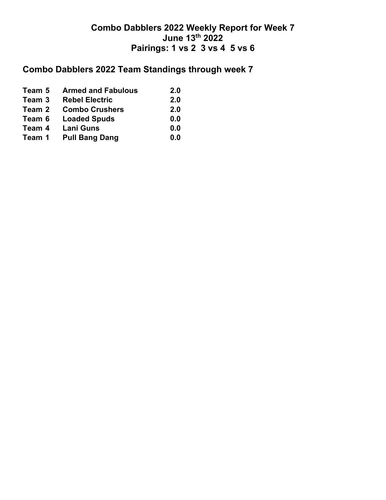# **Combo Dabblers 2022 Team Standings through week 7**

| Team 5 | <b>Armed and Fabulous</b> | 2.0 |
|--------|---------------------------|-----|
| Team 3 | <b>Rebel Electric</b>     | 2.0 |
| Team 2 | <b>Combo Crushers</b>     | 2.0 |
| Team 6 | <b>Loaded Spuds</b>       | 0.0 |
| Team 4 | <b>Lani Guns</b>          | 0.0 |
| Team 1 | <b>Pull Bang Dang</b>     | 0.0 |
|        |                           |     |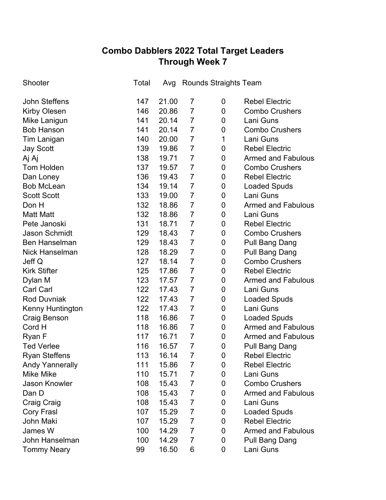## **Combo Dabblers 2022 Total Target Leaders Through Week 7**

| Shooter                 | Total | Avg   |                | <b>Rounds Straights Team</b> |                           |
|-------------------------|-------|-------|----------------|------------------------------|---------------------------|
| John Steffens           | 147   | 21.00 | $\overline{7}$ | 0                            | <b>Rebel Electric</b>     |
| <b>Kirby Olesen</b>     | 146   | 20.86 | $\overline{7}$ | 0                            | <b>Combo Crushers</b>     |
| Mike Lanigun            | 141   | 20.14 | $\overline{7}$ | 0                            | Lani Guns                 |
| <b>Bob Hanson</b>       | 141   | 20.14 | $\overline{7}$ | 0                            | <b>Combo Crushers</b>     |
| Tim Lanigan             | 140   | 20.00 | $\overline{7}$ | 1                            | Lani Guns                 |
| <b>Jay Scott</b>        | 139   | 19.86 | $\overline{7}$ | 0                            | <b>Rebel Electric</b>     |
| Aj Aj                   | 138   | 19.71 | $\overline{7}$ | 0                            | <b>Armed and Fabulous</b> |
| Tom Holden              | 137   | 19.57 | $\overline{7}$ | 0                            | <b>Combo Crushers</b>     |
| Dan Loney               | 136   | 19.43 | $\overline{7}$ | 0                            | <b>Rebel Electric</b>     |
| <b>Bob McLean</b>       | 134   | 19.14 | $\overline{7}$ | 0                            | <b>Loaded Spuds</b>       |
| <b>Scott Scott</b>      | 133   | 19.00 | $\overline{7}$ | 0                            | Lani Guns                 |
| Don H                   | 132   | 18.86 | $\overline{7}$ | $\mathbf 0$                  | <b>Armed and Fabulous</b> |
| <b>Matt Matt</b>        | 132   | 18.86 | $\overline{7}$ | 0                            | Lani Guns                 |
| Pete Janoski            | 131   | 18.71 | $\overline{7}$ | 0                            | <b>Rebel Electric</b>     |
| <b>Jason Schmidt</b>    | 129   | 18.43 | $\overline{7}$ | 0                            | <b>Combo Crushers</b>     |
| <b>Ben Hanselman</b>    | 129   | 18.43 | $\overline{7}$ | $\mathbf 0$                  | <b>Pull Bang Dang</b>     |
| <b>Nick Hanselman</b>   | 128   | 18.29 | $\overline{7}$ | 0                            | <b>Pull Bang Dang</b>     |
| Jeff Q                  | 127   | 18.14 | $\overline{7}$ | $\mathbf 0$                  | <b>Combo Crushers</b>     |
| <b>Kirk Stifter</b>     | 125   | 17.86 | $\overline{7}$ | 0                            | <b>Rebel Electric</b>     |
| Dylan M                 | 123   | 17.57 | $\overline{7}$ | $\mathbf 0$                  | <b>Armed and Fabulous</b> |
| <b>Carl Carl</b>        | 122   | 17.43 | $\overline{7}$ | 0                            | Lani Guns                 |
| <b>Rod Duvniak</b>      | 122   | 17.43 | $\overline{7}$ | 0                            | <b>Loaded Spuds</b>       |
| <b>Kenny Huntington</b> | 122   | 17.43 | $\overline{7}$ | 0                            | Lani Guns                 |
| Craig Benson            | 118   | 16.86 | $\overline{7}$ | $\mathbf 0$                  | <b>Loaded Spuds</b>       |
| Cord H                  | 118   | 16.86 | $\overline{7}$ | 0                            | <b>Armed and Fabulous</b> |
| Ryan F                  | 117   | 16.71 | $\overline{7}$ | 0                            | <b>Armed and Fabulous</b> |
| <b>Ted Verlee</b>       | 116   | 16.57 | $\overline{7}$ | 0                            | Pull Bang Dang            |
| <b>Ryan Steffens</b>    | 113   | 16.14 | $\overline{7}$ | $\mathbf 0$                  | <b>Rebel Electric</b>     |
| <b>Andy Yannerally</b>  | 111   | 15.86 | $\overline{7}$ | $\mathbf 0$                  | <b>Rebel Electric</b>     |
| Mike Mike               | 110   | 15.71 | $\overline{7}$ | 0                            | Lani Guns                 |
| <b>Jason Knowler</b>    | 108   | 15.43 | $\overline{7}$ | 0                            | <b>Combo Crushers</b>     |
| Dan D                   | 108   | 15.43 | $\overline{7}$ | 0                            | <b>Armed and Fabulous</b> |
| Craig Craig             | 108   | 15.43 | 7              | 0                            | Lani Guns                 |
| <b>Cory Frasl</b>       | 107   | 15.29 | $\overline{7}$ | 0                            | <b>Loaded Spuds</b>       |
| <b>John Maki</b>        | 107   | 15.29 | $\overline{7}$ | 0                            | <b>Rebel Electric</b>     |
| James W                 | 100   | 14.29 | $\overline{7}$ | 0                            | <b>Armed and Fabulous</b> |
| John Hanselman          | 100   | 14.29 | $\overline{7}$ | 0                            | <b>Pull Bang Dang</b>     |
| <b>Tommy Neary</b>      | 99    | 16.50 | 6              | 0                            | Lani Guns                 |